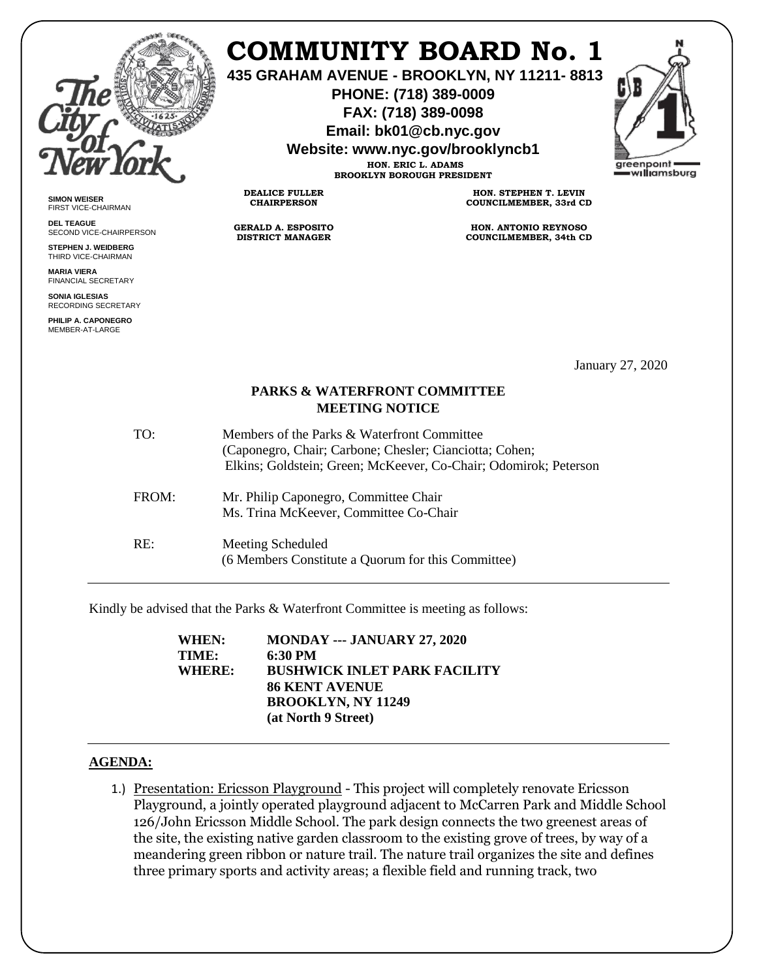

**SIMON WEISER** FIRST VICE-CHAIRMAN **DEL TEAGUE**

SECOND VICE-CHAIRPERSON **STEPHEN J. WEIDBERG** THIRD VICE-CHAIRMAN **MARIA VIERA** FINANCIAL SECRETARY **SONIA IGLESIAS** RECORDING SECRETARY **PHILIP A. CAPONEGRO** MEMBER-AT-LARGE

## **COMMUNITY BOARD No. 1**

**435 GRAHAM AVENUE - BROOKLYN, NY 11211- 8813**

**PHONE: (718) 389-0009 FAX: (718) 389-0098**

**Email: bk01@cb.nyc.gov**

**Website: www.nyc.gov/brooklyncb1**

**HON. ERIC L. ADAMS BROOKLYN BOROUGH PRESIDENT**

**DEALICE FULLER CHAIRPERSON**

**GERALD A. ESPOSITO DISTRICT MANAGER**

**HON. STEPHEN T. LEVIN COUNCILMEMBER, 33rd CD**

**HON. ANTONIO REYNOSO COUNCILMEMBER, 34th CD**

January 27, 2020

## **PARKS & WATERFRONT COMMITTEE MEETING NOTICE**

| TO:   | Members of the Parks & Waterfront Committee<br>(Caponegro, Chair; Carbone; Chesler; Cianciotta; Cohen;<br>Elkins; Goldstein; Green; McKeever, Co-Chair; Odomirok; Peterson |
|-------|----------------------------------------------------------------------------------------------------------------------------------------------------------------------------|
| FROM: | Mr. Philip Caponegro, Committee Chair<br>Ms. Trina McKeever, Committee Co-Chair                                                                                            |
| RE:   | Meeting Scheduled<br>(6 Members Constitute a Quorum for this Committee)                                                                                                    |

Kindly be advised that the Parks & Waterfront Committee is meeting as follows:

| WHEN:  | MONDAY --- JANUARY 27, 2020         |
|--------|-------------------------------------|
| TIME:  | 6:30 PM                             |
| WHERE: | <b>BUSHWICK INLET PARK FACILITY</b> |
|        | <b>86 KENT AVENUE</b>               |
|        | <b>BROOKLYN, NY 11249</b>           |
|        | (at North 9 Street)                 |
|        |                                     |

## **AGENDA:**

1.) Presentation: Ericsson Playground - This project will completely renovate Ericsson Playground, a jointly operated playground adjacent to McCarren Park and Middle School 126/John Ericsson Middle School. The park design connects the two greenest areas of the site, the existing native garden classroom to the existing grove of trees, by way of a meandering green ribbon or nature trail. The nature trail organizes the site and defines three primary sports and activity areas; a flexible field and running track, two